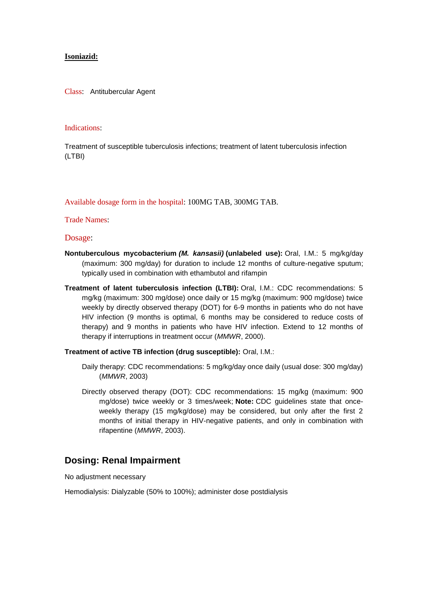## **Isoniazid:**

Class: Antitubercular Agent

## Indications:

Treatment of susceptible tuberculosis infections; treatment of latent tuberculosis infection (LTBI)

Available dosage form in the hospital: 100MG TAB, 300MG TAB.

Trade Names:

Dosage:

- **Nontuberculous mycobacterium** *(M. kansasii)* **(unlabeled use):** Oral, I.M.: 5 mg/kg/day (maximum: 300 mg/day) for duration to include 12 months of culture-negative sputum; typically used in combination with ethambutol and rifampin
- **Treatment of latent tuberculosis infection (LTBI):** Oral, I.M.: CDC recommendations: 5 mg/kg (maximum: 300 mg/dose) once daily or 15 mg/kg (maximum: 900 mg/dose) twice weekly by directly observed therapy (DOT) for 6-9 months in patients who do not have HIV infection (9 months is optimal, 6 months may be considered to reduce costs of therapy) and 9 months in patients who have HIV infection. Extend to 12 months of therapy if interruptions in treatment occur (*MMWR*, 2000).

**Treatment of active TB infection (drug susceptible):** Oral, I.M.:

- Daily therapy: CDC recommendations: 5 mg/kg/day once daily (usual dose: 300 mg/day) (*MMWR*, 2003)
- Directly observed therapy (DOT): CDC recommendations: 15 mg/kg (maximum: 900 mg/dose) twice weekly or 3 times/week; **Note:** CDC guidelines state that onceweekly therapy (15 mg/kg/dose) may be considered, but only after the first 2 months of initial therapy in HIV-negative patients, and only in combination with rifapentine (*MMWR*, 2003).

## **Dosing: Renal Impairment**

No adjustment necessary

Hemodialysis: Dialyzable (50% to 100%); administer dose postdialysis